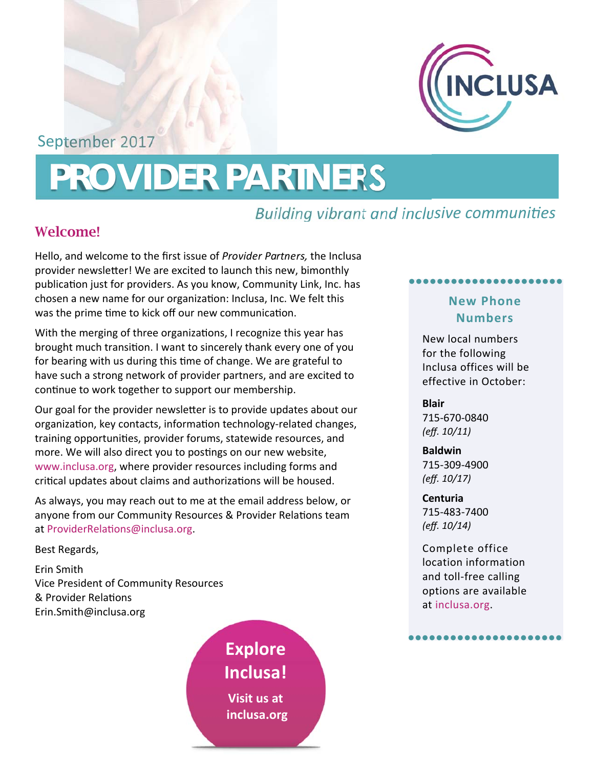

September 2017

# **PROVIDER PARTNERS**

## *Building vibrant and inclusive communities*

### Welcome!

Hello, and welcome to the first issue of *Provider Partners,* the Inclusa provider newsletter! We are excited to launch this new, bimonthly publication just for providers. As you know, Community Link, Inc. has chosen a new name for our organization: Inclusa, Inc. We felt this was the prime time to kick off our new communication.

With the merging of three organizations, I recognize this year has brought much transition. I want to sincerely thank every one of you for bearing with us during this time of change. We are grateful to have such a strong network of provider partners, and are excited to continue to work together to support our membership.

Our goal for the provider newsletter is to provide updates about our organization, key contacts, information technology-related changes, training opportuniƟes, provider forums, statewide resources, and more. We will also direct you to postings on our new website, www.inclusa.org, where provider resources including forms and critical updates about claims and authorizations will be housed.

As always, you may reach out to me at the email address below, or anyone from our Community Resources & Provider Relations team at ProviderRelations@inclusa.org.

Best Regards,

Erin Smith Vice President of Community Resources & Provider Relations Erin.Smith@inclusa.org

> **Explore Inclusa! Visit us at inclusa.org**

#### **New Phone Numbers**

●●●●●●●●●●●●●●●●●●●●●●

New local numbers for the following Inclusa offices will be effective in October:

**Blair**  715‐670‐0840

*(eff. 10/11)* **Baldwin** 

715‐309‐4900 *(eff. 10/17)*

**Centuria**  715‐483‐7400 *(eff. 10/14)*

Complete office location information and toll‐free calling options are available at inclusa.org.

●●●●●●●●●●●●●●●●●●●●●●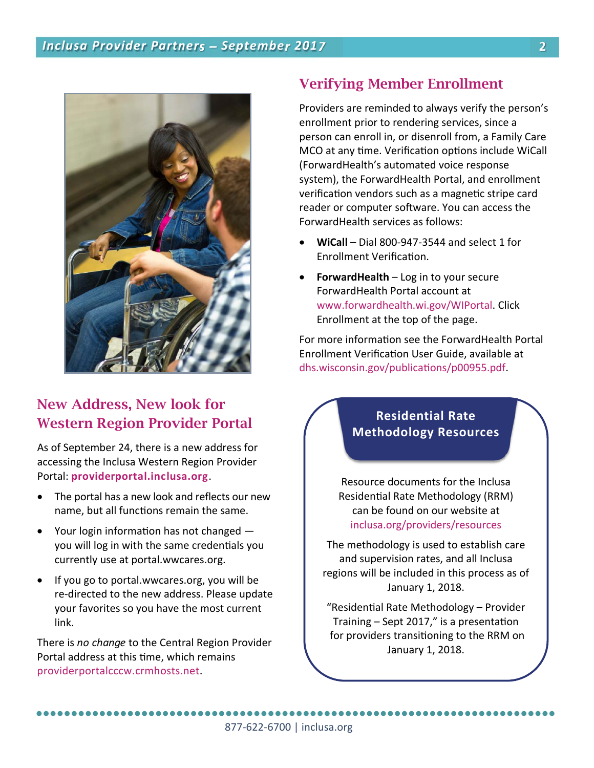

## New Address, New look for Western Region Provider Portal

As of September 24, there is a new address for accessing the Inclusa Western Region Provider Portal: **providerportal.inclusa.org**.

- The portal has a new look and reflects our new name, but all functions remain the same.
- Your login information has not changed  $$ you will log in with the same credentials you currently use at portal.wwcares.org.
- If you go to portal.wwcares.org, you will be re‐directed to the new address. Please update your favorites so you have the most current link.

There is *no change* to the Central Region Provider Portal address at this time, which remains providerportalcccw.crmhosts.net.

#### Verifying Member Enrollment

Providers are reminded to always verify the person's enrollment prior to rendering services, since a person can enroll in, or disenroll from, a Family Care MCO at any time. Verification options include WiCall (ForwardHealth's automated voice response system), the ForwardHealth Portal, and enrollment verification vendors such as a magnetic stripe card reader or computer software. You can access the ForwardHealth services as follows:

- **WiCall**  Dial 800‐947‐3544 and select 1 for Enrollment Verification.
- **ForwardHealth** Log in to your secure ForwardHealth Portal account at www.forwardhealth.wi.gov/WIPortal. Click Enrollment at the top of the page.

For more information see the ForwardHealth Portal Enrollment Verification User Guide, available at dhs.wisconsin.gov/publications/p00955.pdf.

#### **Residential Rate Methodology Resources**

Resource documents for the Inclusa Residential Rate Methodology (RRM) can be found on our website at inclusa.org/providers/resources

The methodology is used to establish care and supervision rates, and all Inclusa regions will be included in this process as of January 1, 2018.

"Residential Rate Methodology - Provider Training  $-$  Sept 2017," is a presentation for providers transitioning to the RRM on January 1, 2018.

877‐622‐6700 | inclusa.org ●●●●●●●●●●●●●●●●●●●●●●●●●●●●●●●●●●●●●●●●●●●●●●●●●●●●●●●●●●●●●●●●●●●●●●●●●●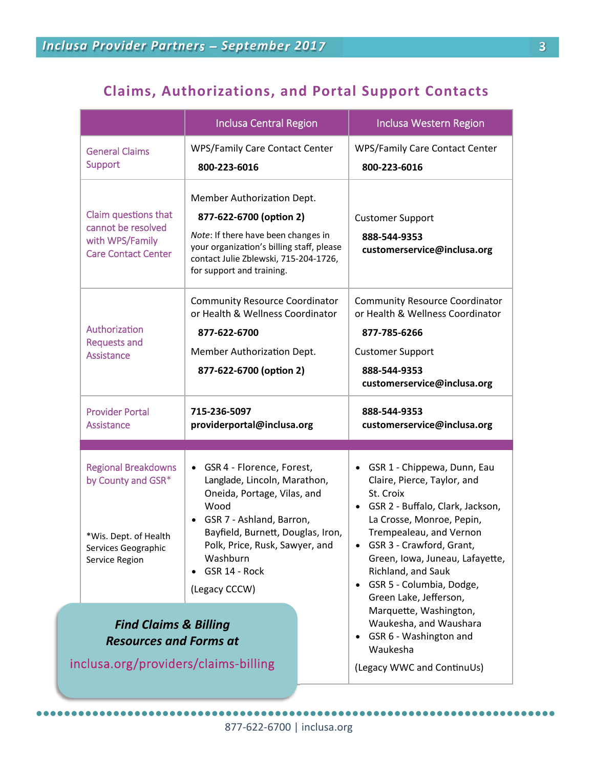## **Claims, Authorizations, and Portal Support Contacts**

|                                                                                                                    | <b>Inclusa Central Region</b>                                                                                                                                                                                                                                               |  | <b>Inclusa Western Region</b>                                                                                                                                                                                                                                                                                                                         |
|--------------------------------------------------------------------------------------------------------------------|-----------------------------------------------------------------------------------------------------------------------------------------------------------------------------------------------------------------------------------------------------------------------------|--|-------------------------------------------------------------------------------------------------------------------------------------------------------------------------------------------------------------------------------------------------------------------------------------------------------------------------------------------------------|
| <b>General Claims</b><br><b>Support</b>                                                                            | <b>WPS/Family Care Contact Center</b><br>800-223-6016                                                                                                                                                                                                                       |  | <b>WPS/Family Care Contact Center</b><br>800-223-6016                                                                                                                                                                                                                                                                                                 |
| Claim questions that<br>cannot be resolved<br>with WPS/Family<br><b>Care Contact Center</b>                        | Member Authorization Dept.<br>877-622-6700 (option 2)<br>Note: If there have been changes in<br>your organization's billing staff, please<br>contact Julie Zblewski, 715-204-1726,<br>for support and training.                                                             |  | <b>Customer Support</b><br>888-544-9353<br>customerservice@inclusa.org                                                                                                                                                                                                                                                                                |
| Authorization<br><b>Requests and</b><br>Assistance                                                                 | <b>Community Resource Coordinator</b><br>or Health & Wellness Coordinator<br>877-622-6700<br>Member Authorization Dept.<br>877-622-6700 (option 2)                                                                                                                          |  | <b>Community Resource Coordinator</b><br>or Health & Wellness Coordinator<br>877-785-6266<br><b>Customer Support</b><br>888-544-9353<br>customerservice@inclusa.org                                                                                                                                                                                   |
|                                                                                                                    | 715-236-5097<br>providerportal@inclusa.org                                                                                                                                                                                                                                  |  |                                                                                                                                                                                                                                                                                                                                                       |
| <b>Provider Portal</b><br>Assistance                                                                               |                                                                                                                                                                                                                                                                             |  | 888-544-9353<br>customerservice@inclusa.org                                                                                                                                                                                                                                                                                                           |
|                                                                                                                    |                                                                                                                                                                                                                                                                             |  |                                                                                                                                                                                                                                                                                                                                                       |
| <b>Regional Breakdowns</b><br>by County and GSR*<br>*Wis. Dept. of Health<br>Services Geographic<br>Service Region | GSR 4 - Florence, Forest,<br>$\bullet$<br>Langlade, Lincoln, Marathon,<br>Oneida, Portage, Vilas, and<br>Wood<br>GSR 7 - Ashland, Barron,<br>$\bullet$<br>Bayfield, Burnett, Douglas, Iron,<br>Polk, Price, Rusk, Sawyer, and<br>Washburn<br>GSR 14 - Rock<br>(Legacy CCCW) |  | GSR 1 - Chippewa, Dunn, Eau<br>$\bullet$<br>Claire, Pierce, Taylor, and<br>St. Croix<br>GSR 2 - Buffalo, Clark, Jackson,<br>$\bullet$<br>La Crosse, Monroe, Pepin,<br>Trempealeau, and Vernon<br>GSR 3 - Crawford, Grant,<br>Green, Iowa, Juneau, Lafayette,<br>Richland, and Sauk<br>GSR 5 - Columbia, Dodge,<br>$\bullet$<br>Green Lake, Jefferson, |
| <b>Find Claims &amp; Billing</b><br><b>Resources and Forms at</b><br>inclusa.org/providers/claims-billing          |                                                                                                                                                                                                                                                                             |  | Marquette, Washington,<br>Waukesha, and Waushara<br>GSR 6 - Washington and<br>$\bullet$<br>Waukesha<br>(Legacy WWC and ContinuUs)                                                                                                                                                                                                                     |

●●●●●●●●●●●●●●●●●●●●●●●●●●●●●●●●●●●●●●●●●●●●●●●●●●●●●●●●●●●●●●●●●●●●●●●●●●